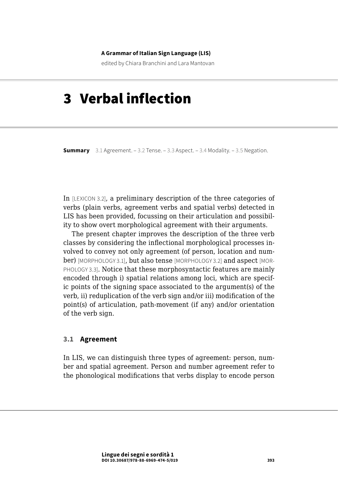#### **A Grammar of Italian Sign Language (LIS)**

edited by Chiara Branchini and Lara Mantovan

# 3 Verbal inflection

**Summary** 3.1 Agreement. – [3.2 Tense.](#page-14-0) – [3.3 Aspect.](#page-18-0) – [3.4 Modality.](#page-21-0) – [3.5 Negation](#page-25-0).

In [LEXICON 3.2], a preliminary description of the three categories of verbs (plain verbs, agreement verbs and spatial verbs) detected in LIS has been provided, focussing on their articulation and possibility to show overt morphological agreement with their arguments.

The present chapter improves the description of the three verb classes by considering the inflectional morphological processes involved to convey not only agreement (of person, location and number) [MORPHOLOGY 3.1], but also tense [MORPHOLOGY 3.2] and aspect [MOR-PHOLOGY 3.3]. Notice that these morphosyntactic features are mainly encoded through i) spatial relations among loci, which are specific points of the signing space associated to the argument(s) of the verb, ii) reduplication of the verb sign and/or iii) modification of the point(s) of articulation, path-movement (if any) and/or orientation of the verb sign.

#### **3.1 Agreement**

In LIS, we can distinguish three types of agreement: person, number and spatial agreement. Person and number agreement refer to the phonological modifications that verbs display to encode person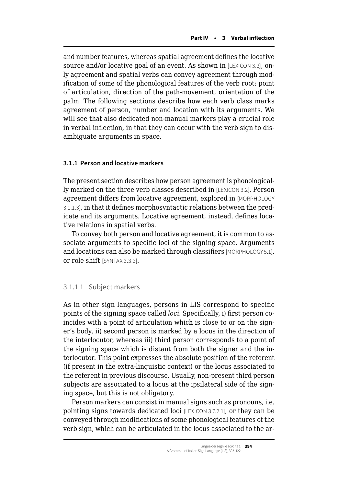and number features, whereas spatial agreement defines the locative source and/or locative goal of an event. As shown in [LEXICON 3.2], only agreement and spatial verbs can convey agreement through modification of some of the phonological features of the verb root: point of articulation, direction of the path-movement, orientation of the palm. The following sections describe how each verb class marks agreement of person, number and location with its arguments. We will see that also dedicated non-manual markers play a crucial role in verbal inflection, in that they can occur with the verb sign to disambiguate arguments in space.

#### **3.1.1 Person and locative markers**

The present section describes how person agreement is phonologically marked on the three verb classes described in [LEXICON 3.2]. Person agreement differs from locative agreement, explored in [MORPHOLOGY 3.1.1.3], in that it defines morphosyntactic relations between the predicate and its arguments. Locative agreement, instead, defines locative relations in spatial verbs.

To convey both person and locative agreement, it is common to associate arguments to specific loci of the signing space. Arguments and locations can also be marked through classifiers [MORPHOLOGY 5.1], or role shift [SYNTAX 3.3.3].

#### 3.1.1.1 Subject markers

As in other sign languages, persons in LIS correspond to specific points of the signing space called *loci*. Specifically, i) first person coincides with a point of articulation which is close to or on the signer's body, ii) second person is marked by a locus in the direction of the interlocutor, whereas iii) third person corresponds to a point of the signing space which is distant from both the signer and the interlocutor. This point expresses the absolute position of the referent (if present in the extra-linguistic context) or the locus associated to the referent in previous discourse. Usually, non-present third person subjects are associated to a locus at the ipsilateral side of the signing space, but this is not obligatory.

Person markers can consist in manual signs such as pronouns, i.e. pointing signs towards dedicated loci [LEXICON 3.7.2.1], or they can be conveyed through modifications of some phonological features of the verb sign, which can be articulated in the locus associated to the ar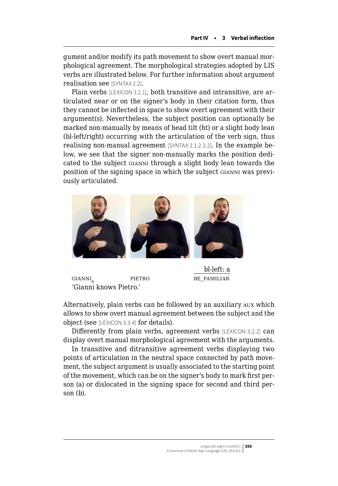gument and/or modify its path movement to show overt manual morphological agreement. The morphological strategies adopted by LIS verbs are illustrated below. For further information about argument realisation see [SYNTAX 2.2].

Plain verbs [LEXICON 3.2.1], both transitive and intransitive, are articulated near or on the signer's body in their citation form, thus they cannot be inflected in space to show overt agreement with their argument(s). Nevertheless, the subject position can optionally be marked non-manually by means of head tilt (ht) or a slight body lean (bl-left/right) occurring with the articulation of the verb sign, thus realising non-manual agreement [SYNTAX 2.1.2.3.2]. In the example below, we see that the signer non-manually marks the position dedicated to the subject gianni through a slight body lean towards the position of the signing space in which the subject gianni was previously articulated.



gianni<sup>a</sup> pietro be\_familiar 'Gianni knows Pietro.'

bl-left: a

Alternatively, plain verbs can be followed by an auxiliary aux which allows to show overt manual agreement between the subject and the object (see [LEXICON 3.3.4] for details).

Differently from plain verbs, agreement verbs [LEXICON 3.2.2] can display overt manual morphological agreement with the arguments.

In transitive and ditransitive agreement verbs displaying two points of articulation in the neutral space connected by path movement, the subject argument is usually associated to the starting point of the movement, which can be on the signer's body to mark first person (a) or dislocated in the signing space for second and third person (b).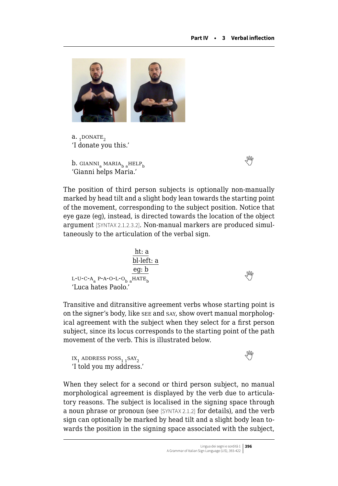

 $a.$ , DONATE, 'I donate you this.'

**b.**GIANNI<sub>a</sub> MARIA<sub>h a</sub>HELP<sub>b</sub> 'Gianni helps Maria.'

The position of third person subjects is optionally non-manually marked by head tilt and a slight body lean towards the starting point of the movement, corresponding to the subject position. Notice that eye gaze (eg), instead, is directed towards the location of the object argument [SYNTAX 2.1.2.3.2]. Non-manual markers are produced simultaneously to the articulation of the verbal sign.

ht: a bl-left: a eg: b l-u-c-a<sup>a</sup> p-a-o-l-o<sup>b</sup> <sup>a</sup>hate<sup>b</sup>  'Luca hates Paolo.'

Transitive and ditransitive agreement verbs whose starting point is on the signer's body, like see and say, show overt manual morphological agreement with the subject when they select for a first person subject, since its locus corresponds to the starting point of the path movement of the verb. This is illustrated below.

 $IX_1$ ADDRESS POSS<sub>1,1</sub>SAY<sub>2</sub> 'I told you my address.'

When they select for a second or third person subject, no manual morphological agreement is displayed by the verb due to articulatory reasons. The subject is localised in the signing space through a noun phrase or pronoun (see [SYNTAX 2.1.2] for details), and the verb sign can optionally be marked by head tilt and a slight body lean towards the position in the signing space associated with the subject,

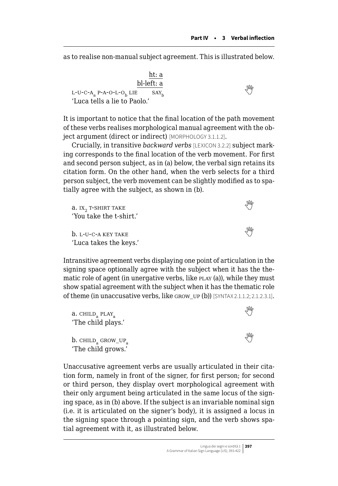as to realise non-manual subject agreement. This is illustrated below.

 ht: a bl-left: a  $L$ -U-C-A<sub>a</sub>P-A-O-L-O<sub>b</sub> LIE SAY<sub>b</sub> 'Luca tells a lie to Paolo.'

It is important to notice that the final location of the path movement of these verbs realises morphological manual agreement with the object argument (direct or indirect) [MORPHOLOGY 3.1.1.2].

Crucially, in transitive *backward verbs* [LEXICON 3.2.2] subject marking corresponds to the final location of the verb movement. For first and second person subject, as in (a) below, the verbal sign retains its citation form. On the other hand, when the verb selects for a third person subject, the verb movement can be slightly modified as to spatially agree with the subject, as shown in (b).

| a. IX., T-SHIRT TAKE    |               |
|-------------------------|---------------|
| 'You take the t-shirt.' |               |
| b. I.-U-C-A KEY TAKE    | <sup>MN</sup> |
| 'Luca takes the keys.'  |               |

Intransitive agreement verbs displaying one point of articulation in the signing space optionally agree with the subject when it has the thematic role of agent (in unergative verbs, like  $P_{\text{LAY}}(a)$ ), while they must show spatial agreement with the subject when it has the thematic role of theme (in unaccusative verbs, like grow\_up (b)) [SYNTAX 2.1.1.2; 2.1.2.3.1].

| $\alpha$ . CHILD <sub>a</sub> PLAY <sub>a</sub><br>'The child plays.' |                        |
|-----------------------------------------------------------------------|------------------------|
| $b.$ CHILD <sub>a</sub> GROW_UP <sub>a</sub><br>'The child grows.'    | $\mathbb{W}_{\varphi}$ |

Unaccusative agreement verbs are usually articulated in their citation form, namely in front of the signer, for first person; for second or third person, they display overt morphological agreement with their only argument being articulated in the same locus of the signing space, as in (b) above. If the subject is an invariable nominal sign (i.e. it is articulated on the signer's body), it is assigned a locus in the signing space through a pointing sign, and the verb shows spatial agreement with it, as illustrated below.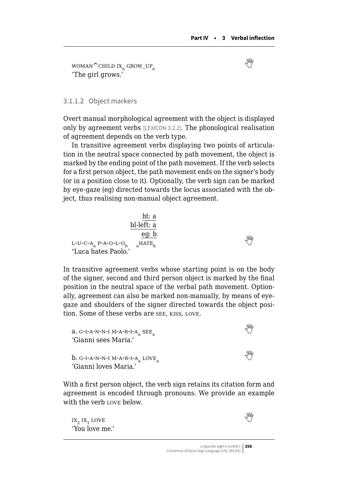$WOMAN^CCHILD IX_a GROW_UP_a$  $WOMAN^CCHILD IX_a GROW_UP_a$  $WOMAN^CCHILD IX_a GROW_UP_a$ 'The girl grows.'

#### 3.1.1.2 Object markers

Overt manual morphological agreement with the object is displayed only by agreement verbs [LEXICON 3.2.2]. The phonological realisation of agreement depends on the verb type.

In transitive agreement verbs displaying two points of articulation in the neutral space connected by path movement, the object is marked by the ending point of the path movement. If the verb selects for a first person object, the path movement ends on the signer's body (or in a position close to it). Optionally, the verb sign can be marked by eye-gaze (eg) directed towards the locus associated with the object, thus realising non-manual object agreement.

| $\underline{h}$                    |                 |
|------------------------------------|-----------------|
| $\underline{h}$                    | $\underline{h}$ |
| $\underline{h}$                    | $\underline{e}$ |
| $L-U-C-A_a$ P-A-O-L-O <sub>b</sub> | $a^{HATE}$      |
| 'Luca hates Paolo.'                | $\overline{v}$  |

In transitive agreement verbs whose starting point is on the body of the signer, second and third person object is marked by the final position in the neutral space of the verbal path movement. Optionally, agreement can also be marked non-manually, by means of eyegaze and shoulders of the signer directed towards the object position. Some of these verbs are see, kiss, love.

 $a. G$  $a. G$  $a. G$ -I-A-N-N-I M-A-R-I-A $\sim$  SEE $\sim$ 'Gianni sees Maria.' **b.**G-I-A-N-N-I M-A-R-I-A<sub>a</sub> LOVE<sub>a</sub> 'Gianni loves Maria.'

With a first person object, the verb sign retains its citation form and agreement is encoded through pronouns. We provide an example with the verb LOVE below.

 $ix_2 ix_1 \text{love}$  $ix_2 ix_1 \text{love}$  $ix_2 ix_1 \text{love}$ 'You love me.'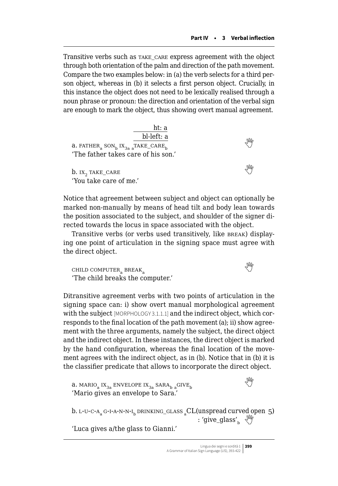Transitive verbs such as take\_care express agreement with the object through both orientation of the palm and direction of the path movement. Compare the two examples below: in (a) the verb selects for a third person object, whereas in (b) it selects a first person object. Crucially, in this instance the object does not need to be lexically realised through a noun phrase or pronoun: the direction and orientation of the verbal sign are enough to mark the object, thus showing overt manual agreement.

Notice that agreement between subject and object can optionally be marked non-manually by means of head tilt and body lean towards the position associated to the subject, and shoulder of the signer directed towards the locus in space associated with the object.

Transitive verbs (or verbs used transitively, like BREAK) displaying one point of articulation in the signing space must agree with the direct object.

 $\text{CHILD COMPUTER}_\sim\text{BREAK}_\sim$  $\text{CHILD COMPUTER}_\sim\text{BREAK}_\sim$  $\text{CHILD COMPUTER}_\sim\text{BREAK}_\sim$ 'The child breaks the computer.'

Ditransitive agreement verbs with two points of articulation in the signing space can: i) show overt manual morphological agreement with the subject [MORPHOLOGY 3.1.1.1] and the indirect object, which corresponds to the final location of the path movement (a); ii) show agreement with the three arguments, namely the subject, the direct object and the indirect object. In these instances, the direct object is marked by the hand configuration, whereas the final location of the movement agrees with the indirect object, as in (b). Notice that in (b) it is the classifier predicate that allows to incorporate the direct object.

**a.**MARIO<sub>a</sub> IX<sub>3a</sub> ENVELOPE IX<sub>3a</sub> SARA<sub>b a</sub>GIVE<sub>b</sub> 'Mario gives an envelope to Sara.'

b. L-U-C-A<sub>a</sub> G-I-A-N-N-I<sub>b</sub> DRINKING\_GLASS <sub>a</sub>CL(unspread curved open 5) : 'give\_glass',  $\sqrt[8]{\ }$ 

'Luca gives a/the glass to Gianni.'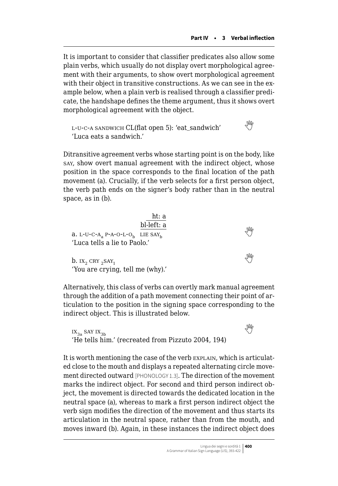It is important to consider that classifier predicates also allow some plain verbs, which usually do not display overt morphological agreement with their arguments, to show overt morphological agreement with their object in transitive constructions. As we can see in the example below, when a plain verb is realised through a classifier predicate, the handshape defines the theme argument, thus it shows overt morphological agreement with the object.

l-u-c-a sandwich CL(flat open 5): 'eat\_sandwich'  'Luca eats a sandwich.'

Ditransitive agreement verbs whose starting point is on the body, like say, show overt manual agreement with the indirect object, whose position in the space corresponds to the final location of the path movement (a). Crucially, if the verb selects for a first person object, the verb path ends on the signer's body rather than in the neutral space, as in (b).

| $\alpha$ . L-U-C-A, P-A-O-L-O <sub>b</sub> LIE SAY <sub>b</sub><br>'Luca tells a lie to Paolo.' | ht: a<br>bl-left: a | ₩ |
|-------------------------------------------------------------------------------------------------|---------------------|---|
| b. $IX_2$ CRY $_2$ SAY <sub>1</sub><br>'You are crying, tell me (why).'                         |                     | M |

Alternatively, this class of verbs can overtly mark manual agreement through the addition of a path movement connecting their point of articulation to the position in the signing space corresponding to the indirect object. This is illustrated below.

 $\mathbf{x}_{3a}$ say  $\mathbf{x}_{3b}$ 'He tells him.' (recreated from Pizzuto 2004, 194)

It is worth mentioning the case of the verb EXPLAIN, which is articulated close to the mouth and displays a repeated alternating circle movement directed outward [PHONOLOGY 1.3]. The direction of the movement marks the indirect object. For second and third person indirect object, the movement is directed towards the dedicated location in the neutral space (a), whereas to mark a first person indirect object the verb sign modifies the direction of the movement and thus starts its articulation in the neutral space, rather than from the mouth, and moves inward (b). Again, in these instances the indirect object does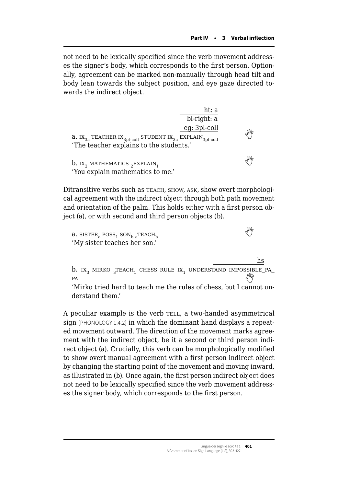not need to be lexically specified since the verb movement addresses the signer's body, which corresponds to the first person. Optionally, agreement can be marked non-manually through head tilt and body lean towards the subject position, and eye gaze directed towards the indirect object.

|                                                                                                                                                           | ht: a<br>bl-right: a<br>eg: 3pl-coll |    |
|-----------------------------------------------------------------------------------------------------------------------------------------------------------|--------------------------------------|----|
| <b>a.</b> IX <sub>3a</sub> TEACHER IX <sub>3pl-coll</sub> STUDENT IX <sub>3a</sub> EXPLAIN <sub>3pl-coll</sub><br>'The teacher explains to the students.' |                                      | Ng |
| <b>b.</b> IX <sub>2</sub> MATHEMATICS ${}_{2}$ EXPLAIN <sub>1</sub><br>'You explain mathematics to me.'                                                   |                                      | ₩  |

Ditransitive verbs such as teach, show, ask, show overt morphological agreement with the indirect object through both path movement and orientation of the palm. This holds either with a first person object (a), or with second and third person objects (b).

 $a.$  SISTER<sub>a</sub> POSS<sub>1</sub> SON<sub>b</sub><sub>a</sub>TEACH<sub>b</sub>  $\mathcal{L}_{\mathbf{b}}$ teach  $\mathcal{L}_{\mathbf{b}}$ 'My sister teaches her son.'

hs **b.** ix<sub>3</sub> mirko  ${}_{3}$ teach<sub>1</sub> chess rule ix<sub>1</sub> understand impossible\_pa\_ pa<br>
'Mirko tried hard to teach me the rules of chess, but I cannot un-

derstand them.'

A peculiar example is the verb TELL, a two-handed asymmetrical sign [PHONOLOGY 1.4.2] in which the dominant hand displays a repeated movement outward. The direction of the movement marks agreement with the indirect object, be it a second or third person indirect object (a). Crucially, this verb can be morphologically modified to show overt manual agreement with a first person indirect object by changing the starting point of the movement and moving inward, as illustrated in (b). Once again, the first person indirect object does not need to be lexically specified since the verb movement addresses the signer body, which corresponds to the first person.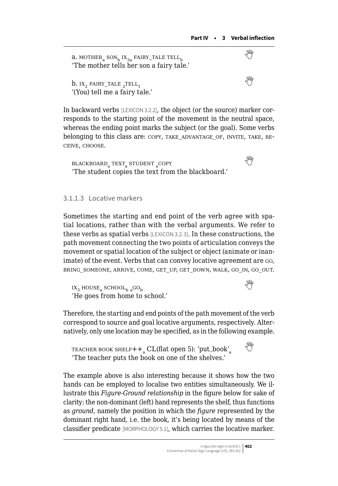**a.**MOTHER<sub>a</sub> SON<sub>b</sub> IX<sub>3a</sub> FAIRY\_TALE TELL<sub>b</sub>  $\sqrt{\frac{M}{2}}$ 'The mother tells her son a fairy tale.'  $b.$  IX<sub>2</sub> FAIRY\_TALE <sub>2</sub>TELL<sub>1</sub>  $\mathbb{E}_{1}$ tell  $\mathbb{E}_{1}$ '(You) tell me a fairy tale.'

In backward verbs [LEXICON 3.2.2], the object (or the source) marker corresponds to the starting point of the movement in the neutral space, whereas the ending point marks the subject (or the goal). Some verbs belonging to this class are:  $\text{copy, TAKE}$  ADVANTAGE\_OF, INVITE, TAKE, REceive, choose.

 ${\tt BLACKBOARD_{a}\text{ TEXT}_{a}\text{STUDENT}_{a}\text{COPY}}$  ${\tt BLACKBOARD_{a}\text{ TEXT}_{a}\text{STUDENT}_{a}\text{COPY}}$  ${\tt BLACKBOARD_{a}\text{ TEXT}_{a}\text{STUDENT}_{a}\text{COPY}}$ 'The student copies the text from the blackboard.'

#### 3.1.1.3 Locative markers

Sometimes the starting and end point of the verb agree with spatial locations, rather than with the verbal arguments. We refer to these verbs as spatial verbs [LEXICON 3.2.3]. In these constructions, the path movement connecting the two points of articulation conveys the movement or spatial location of the subject or object (animate or inanimate) of the event. Verbs that can convey locative agreement are go, BRING\_SOMEONE, ARRIVE, COME, GET\_UP, GET\_DOWN, WALK, GO\_IN, GO\_OUT.

 $IX_3$ HOUSE<sub>a</sub> SCHOOL<sub>b a</sub>GO<sub>b</sub> 'He goes from home to school.'

Therefore, the starting and end points of the path movement of the verb correspond to source and goal locative arguments, respectively. Alternatively, only one location may be specified, as in the following example.

TEACHER BOOK SHELF $++$ <sub>a</sub> CL(flat open 5): 'put\_book'<sub>a</sub> 'The teacher puts the book on one of the shelves.'

The example above is also interesting because it shows how the two hands can be employed to localise two entities simultaneously. We illustrate this *Figure-Ground relationship* in the figure below for sake of clarity: the non-dominant (left) hand represents the shelf, thus functions as *ground*, namely the position in which the *figure* represented by the dominant right hand, i.e. the book, it's being located by means of the classifier predicate [MORPHOLOGY 5.1], which carries the locative marker.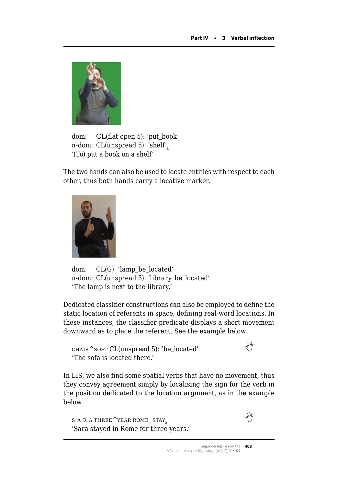

dom: CL(flat open 5): 'put\_book'<sup>a</sup> n-dom: CL(unspread 5): 'shelf' '(To) put a book on a shelf'

The two hands can also be used to locate entities with respect to each other, thus both hands carry a locative marker.



dom: CL(G): 'lamp\_be\_located' n-dom: CL(unspread 5): 'library\_be\_located' 'The lamp is next to the library.'

Dedicated classifier constructions can also be employed to define the static location of referents in space, defining real-word locations. In these instances, the classifier predicate displays a short movement downward as to place the referent. See the example below.

 $CHAIR^s$ SOFTCL(unspread 5): 'be\_located' 'The sofa is located there.'

In LIS, we also find some spatial verbs that have no movement, thus they convey agreement simply by localising the sign for the verb in the position dedicated to the location argument, as in the example below.

```
 THREE<sup>\sim</sup>YEAR ROME<sub>a</sub> STAY<sub>a</sub>
'Sara stayed in Rome for three years.'
```
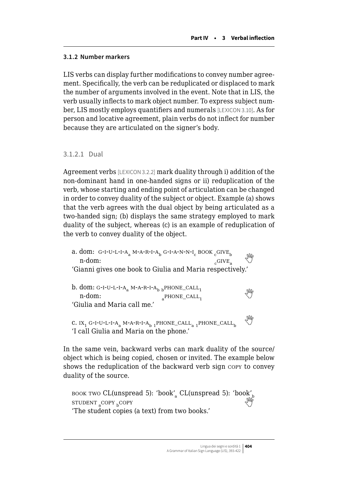# **3.1.2 Number markers**

LIS verbs can display further modifications to convey number agreement. Specifically, the verb can be reduplicated or displaced to mark the number of arguments involved in the event. Note that in LIS, the verb usually inflects to mark object number. To express subject number, LIS mostly employs quantifiers and numerals [LEXICON 3.10]. As for person and locative agreement, plain verbs do not inflect for number because they are articulated on the signer's body.

# 3.1.2.1 Dual

Agreement verbs [LEXICON 3.2.2] mark duality through i) addition of the non-dominant hand in one-handed signs or ii) reduplication of the verb, whose starting and ending point of articulation can be changed in order to convey duality of the subject or object. Example (a) shows that the verb agrees with the dual object by being articulated as a two-handed sign; (b) displays the same strategy employed to mark duality of the subject, whereas (c) is an example of reduplication of the verb to convey duality of the object.

a. dom: G-I-U-L-I-A<sub>a</sub> M-A-R-I-A<sub>b</sub> G-I-A-N-N-I<sub>c</sub> BOOK  $_{c}$ GIVE<sub>b</sub>  $_{c}$  W<sub>c</sub> CIVE<sub>a</sub> 'Gianni gives one book to Giulia and Maria respectively.' b.dom: G-I-U-L-I-A<sub>a</sub> M-A-R-I-A<sub>b b</sub>PHONE\_CALL<sub>1</sub>  $\mathbb{M}$ <sup>2</sup> n-dom: 'Giulia and Maria call me.' C. IX<sub>1</sub> G-I-U-L-I-A<sub>a</sub> M-A-R-I-A<sub>b 1</sub>PHONE\_CALL<sub>a 1</sub>PHONE\_CALL<sub>b</sub> 'I call Giulia and Maria on the phone.'

In the same vein, backward verbs can mark duality of the source/ object which is being copied, chosen or invited. The example below shows the reduplication of the backward verb sign copy to convey duality of the source.

book two [CL\(unspread 5\): 'book'](https://edizionicafoscari.unive.it/grammatica-lis/media/video/gr-lis-4-3_1_2_1_booktwoclunspread5bookclunspread5bookstudentcopycopy.mp4)<sub>a</sub> CL(unspread 5): 'book'<sub>b</sub> STUDENT COPY **COPY** 'The student copies (a text) from two books.'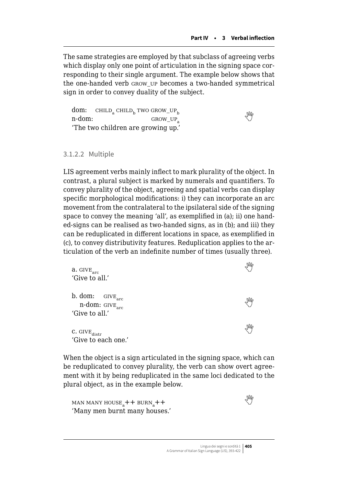The same strategies are employed by that subclass of agreeing verbs which display only one point of articulation in the signing space corresponding to their single argument. The example below shows that the one-handed verb grow\_up becomes a two-handed symmetrical sign in order to convey duality of the subject.

dom:  $CHILD<sub>a</sub> CHILD<sub>b</sub> TWO GROW_UP<sub>b</sub>$  $n$ -dom: $GROW_UP_a$ 'The two children are growing up.'

#### 3.1.2.2 Multiple

LIS agreement verbs mainly inflect to mark plurality of the object. In contrast, a plural subject is marked by numerals and quantifiers. To convey plurality of the object, agreeing and spatial verbs can display specific morphological modifications: i) they can incorporate an arc movement from the contralateral to the ipsilateral side of the signing space to convey the meaning 'all', as exemplified in (a); ii) one handed-signs can be realised as two-handed signs, as in (b); and iii) they can be reduplicated in different locations in space, as exemplified in (c), to convey distributivity features. Reduplication applies to the articulation of the verb an indefinite number of times (usually three).

| $\mathbf{a}.$ $\textsc{give}_{\textsc{arc}}$<br>'Give to all.'                  | M |
|---------------------------------------------------------------------------------|---|
| b. dom: $GIVE_{arc}$<br>n-dom: $\textsc{give}_{\textsc{arc}}$<br>'Give to all.' |   |
| $\texttt{C.}$ $\texttt{GIVE}_{\text{distr}}$<br>'Give to each one.'             | M |

When the object is a sign articulated in the signing space, which can be reduplicated to convey plurality, the verb can show overt agreement with it by being reduplicated in the same loci dedicated to the plural object, as in the example below.

man many house<sub>a</sub>++ burn<sub>a</sub>  $+$ +  $\sqrt{W}$ 'Many men burnt many houses.'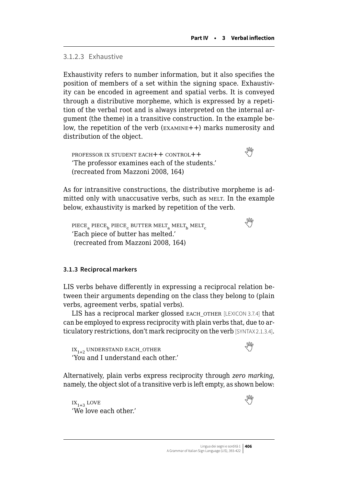# 3.1.2.3 Exhaustive

Exhaustivity refers to number information, but it also specifies the position of members of a set within the signing space. Exhaustivity can be encoded in agreement and spatial verbs. It is conveyed through a distributive morpheme, which is expressed by a repetition of the verbal root and is always interpreted on the internal argument (the theme) in a transitive construction. In the example below, the repetition of the verb (examine++) marks numerosity and distribution of the object.

professor ix student each++ control++  'The professor examines each of the students.' (recreated from Mazzoni 2008, 164)

As for intransitive constructions, the distributive morpheme is admitted only with unaccusative verbs, such as MELT. In the example below, exhaustivity is marked by repetition of the verb.

 $PIECE_a$ PIECE<sub>b</sub> PIECE<sub>c</sub> BUTTER MELT<sub>a</sub> MELT<sub>h</sub> MELT<sub>c</sub> metro metropology 'Each piece of butter has melted.' (recreated from Mazzoni 2008, 164)

# **3.1.3 Reciprocal markers**

LIS verbs behave differently in expressing a reciprocal relation between their arguments depending on the class they belong to (plain verbs, agreement verbs, spatial verbs).

LIS has a reciprocal marker glossed EACH OTHER [LEXICON 3.7.4] that can be employed to express reciprocity with plain verbs that, due to articulatory restrictions, don't mark reciprocity on the verb [SYNTAX 2.1.3.4].

 $IX_{1+2}$ UNDERSTAND EACH\_OTHER 'You and I understand each other.'



Alternatively, plain verbs express reciprocity through *zero marking*, namely, the object slot of a transitive verb is left empty, as shown below:

 $\mathbf{I} \mathbf{X}_{1+3}$  $\mathbf{I} \mathbf{X}_{1+3}$  $\mathbf{I} \mathbf{X}_{1+3}$  love 'We love each other.'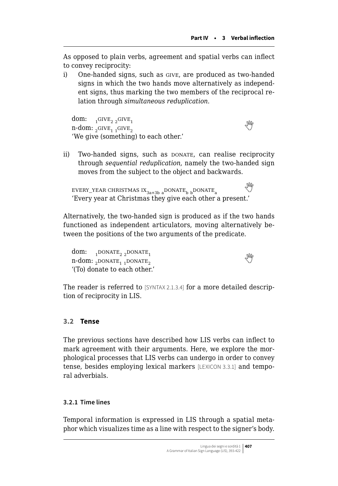<span id="page-14-0"></span>As opposed to plain verbs, agreement and spatial verbs can inflect to convey reciprocity:

i) One-handed signs, such as give, are produced as two-handed signs in which the two hands move alternatively as independent signs, thus marking the two members of the reciprocal relation through *simultaneous reduplication*.

dom:  $1$ <sup>GIVE<sub>2</sub> 2</sub>GIVE<sub>1</sub></sup>  $\lim_{1 \to \infty} \frac{1}{2}$  $\lim_{1 \to \infty} \frac{1}{2}$  $\lim_{1 \to \infty} \frac{1}{2}$   $\lim_{2 \to \infty} \frac{1}{2}$   $\lim_{1 \to \infty} \frac{1}{2}$   $\lim_{2 \to \infty} \frac{1}{2}$ 'We give (something) to each other.'

ii) Two-handed signs, such as DONATE, can realise reciprocity through *sequential reduplication*, namely the two-handed sign moves from the subject to the object and backwards.

 $\texttt{EVERT\_YEAR CHRISTMAS IX}_{3a+3b \text{ a}}$  $\texttt{EVERT\_YEAR CHRISTMAS IX}_{3a+3b \text{ a}}$  $\texttt{EVERT\_YEAR CHRISTMAS IX}_{3a+3b \text{ a}}$ DONATE $_\mathtt{b \text{ b}}$ DONATE $_\mathtt{a}$ 'Every year at Christmas they give each other a present.'

Alternatively, the two-handed sign is produced as if the two hands functioned as independent articulators, moving alternatively between the positions of the two arguments of the predicate.

dom:  $1$ DONATE<sub>2 2</sub>DONATE<sub>1</sub>  $n$ -dom:<sub>2</sub>DONATE<sub>1</sub> 1DONATE<sub>2</sub> '(To) donate to each other.'

The reader is referred to [SYNTAX 2.1.3.4] for a more detailed description of reciprocity in LIS.

# **3.2 Tense**

The previous sections have described how LIS verbs can inflect to mark agreement with their arguments. Here, we explore the morphological processes that LIS verbs can undergo in order to convey tense, besides employing lexical markers [LEXICON 3.3.1] and temporal adverbials.

# **3.2.1 Time lines**

Temporal information is expressed in LIS through a spatial metaphor which visualizes time as a line with respect to the signer's body.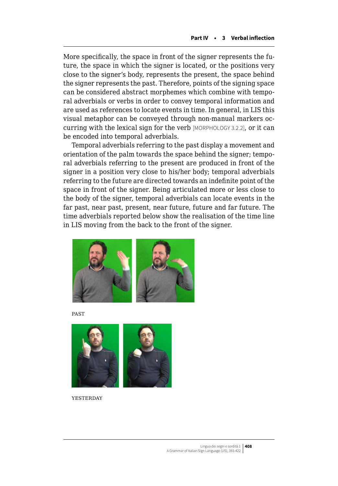More specifically, the space in front of the signer represents the future, the space in which the signer is located, or the positions very close to the signer's body, represents the present, the space behind the signer represents the past. Therefore, points of the signing space can be considered abstract morphemes which combine with temporal adverbials or verbs in order to convey temporal information and are used as references to locate events in time. In general, in LIS this visual metaphor can be conveyed through non-manual markers occurring with the lexical sign for the verb [MORPHOLOGY 3.2.2], or it can be encoded into temporal adverbials.

Temporal adverbials referring to the past display a movement and orientation of the palm towards the space behind the signer; temporal adverbials referring to the present are produced in front of the signer in a position very close to his/her body; temporal adverbials referring to the future are directed towards an indefinite point of the space in front of the signer. Being articulated more or less close to the body of the signer, temporal adverbials can locate events in the far past, near past, present, near future, future and far future. The time adverbials reported below show the realisation of the time line in LIS moving from the back to the front of the signer.



**PAST** 



**YESTERDAY**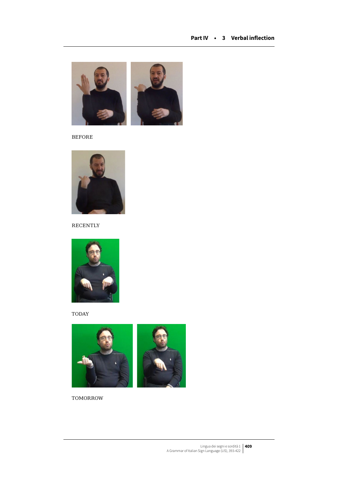

before



**RECENTLY** 



**TODAY** 



**TOMORROW**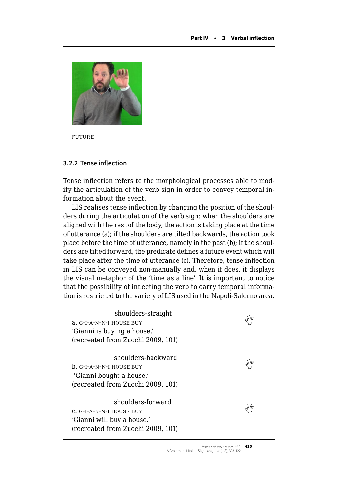

future

#### **3.2.2 Tense inflection**

Tense inflection refers to the morphological processes able to modify the articulation of the verb sign in order to convey temporal information about the event.

LIS realises tense inflection by changing the position of the shoulders during the articulation of the verb sign: when the shoulders are aligned with the rest of the body, the action is taking place at the time of utterance (a); if the shoulders are tilted backwards, the action took place before the time of utterance, namely in the past (b); if the shoulders are tilted forward, the predicate defines a future event which will take place after the time of utterance (c). Therefore, tense inflection in LIS can be conveyed non-manually and, when it does, it displays the visual metaphor of the 'time as a line'. It is important to notice that the possibility of inflecting the verb to carry temporal information is restricted to the variety of LIS used in the Napoli-Salerno area.

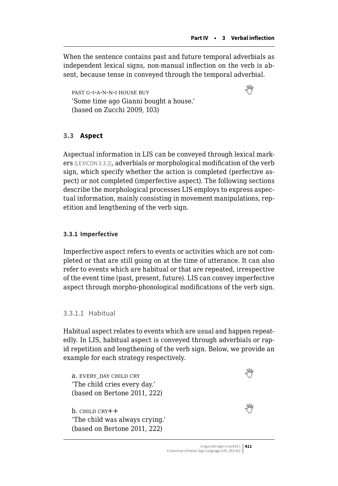<span id="page-18-0"></span>When the sentence contains past and future temporal adverbials as independent lexical signs, non-manual inflection on the verb is absent, because tense in conveyed through the temporal adverbial.

past g-i-a-n-n-i house buy  'Some time ago Gianni bought a house.' (based on Zucchi 2009, 103)

# **3.3 Aspect**

Aspectual information in LIS can be conveyed through lexical markers [LEXICON 3.3.2], adverbials or morphological modification of the verb sign, which specify whether the action is completed (perfective aspect) or not completed (imperfective aspect). The following sections describe the morphological processes LIS employs to express aspectual information, mainly consisting in movement manipulations, repetition and lengthening of the verb sign.

#### **3.3.1 Imperfective**

Imperfective aspect refers to events or activities which are not completed or that are still going on at the time of utterance. It can also refer to events which are habitual or that are repeated, irrespective of the event time (past, present, future). LIS can convey imperfective aspect through morpho-phonological modifications of the verb sign.

#### 3.3.1.1 Habitual

Habitual aspect relates to events which are usual and happen repeatedly. In LIS, habitual aspect is conveyed through adverbials or rapid repetition and lengthening of the verb sign. Below, we provide an example for each strategy respectively.

a. every\_day child cry  'The child cries every day.' (based on Bertone 2011, 222)  $b.$ child  $c$ RY $+$ 'The child was always crying.' (based on Bertone 2011, 222)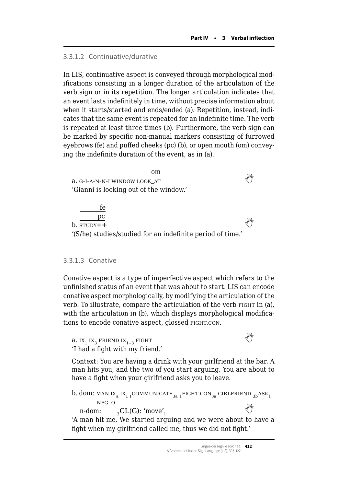#### 3.3.1.2 Continuative/durative

In LIS, continuative aspect is conveyed through morphological modifications consisting in a longer duration of the articulation of the verb sign or in its repetition. The longer articulation indicates that an event lasts indefinitely in time, without precise information about when it starts/started and ends/ended (a). Repetition, instead, indicates that the same event is repeated for an indefinite time. The verb is repeated at least three times (b). Furthermore, the verb sign can be marked by specific non-manual markers consisting of furrowed eyebrows (fe) and puffed cheeks (pc) (b), or open mouth (om) conveying the indefinite duration of the event, as in (a).

om a. $G$ -I-A-N-N-I WINDOW LOOK AT 'Gianni is looking out of the window.' fe

pc  $\frac{\mu}{\sqrt{m}}$ b. study++ '(S/he) studies/studied for an indefinite period of time.'

#### 3.3.1.3 Conative

Conative aspect is a type of imperfective aspect which refers to the unfinished status of an event that was about to start. LIS can encode conative aspect morphologically, by modifying the articulation of the verb. To illustrate, compare the articulation of the verb FIGHT in (a), with the articulation in (b), which displays morphological modifications to encode conative aspect, glossed FIGHT.CON.

**a.** $IX_1 IX_3$  FRIEND  $IX_{1+3}$  FIGHT 'I had a fight with my friend.'

Context: You are having a drink with your girlfriend at the bar. A man hits you, and the two of you start arguing. You are about to have a fight when your girlfriend asks you to leave.

b. dom: MAN IX<sub>a</sub> IX<sub>1 1</sub>COMMUNICATE<sub>3a 1</sub> FIGHT.CON<sub>3a</sub> GIRLFRIEND <sub>3b</sub>ASK<sub>1</sub> neg\_<sup>o</sup> n-dom:  ${}_{3}CL(G)$ : 'move'<sub>1</sub>  $\frac{1}{1}$ 'A man hit me. We started arguing and we were about to have a fight when my girlfriend called me, thus we did not fight.'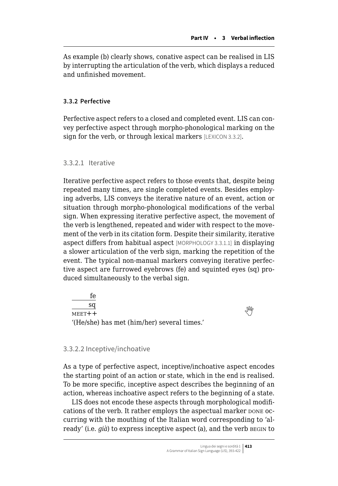As example (b) clearly shows, conative aspect can be realised in LIS by interrupting the articulation of the verb, which displays a reduced and unfinished movement.

# **3.3.2 Perfective**

Perfective aspect refers to a closed and completed event. LIS can convey perfective aspect through morpho-phonological marking on the sign for the verb, or through lexical markers [LEXICON 3.3.2].

3.3.2.1 Iterative

Iterative perfective aspect refers to those events that, despite being repeated many times, are single completed events. Besides employing adverbs, LIS conveys the iterative nature of an event, action or situation through morpho-phonological modifications of the verbal sign. When expressing iterative perfective aspect, the movement of the verb is lengthened, repeated and wider with respect to the movement of the verb in its citation form. Despite their similarity, iterative aspect differs from habitual aspect [MORPHOLOGY 3.3.1.1] in displaying a slower articulation of the verb sign, marking the repetition of the event. The typical non-manual markers conveying iterative perfective aspect are furrowed eyebrows (fe) and squinted eyes (sq) produced simultaneously to the verbal sign.

fe sq  $\frac{1}{\sqrt{m}}$ meet + + '(He/she) has met (him/her) several times.'

#### 3.3.2.2 Inceptive/inchoative

As a type of perfective aspect, inceptive/inchoative aspect encodes the starting point of an action or state, which in the end is realised. To be more specific, inceptive aspect describes the beginning of an action, whereas inchoative aspect refers to the beginning of a state.

LIS does not encode these aspects through morphological modifications of the verb. It rather employs the aspectual marker pone occurring with the mouthing of the Italian word corresponding to 'already' (i.e. *già*) to express inceptive aspect (a), and the verb BEGIN to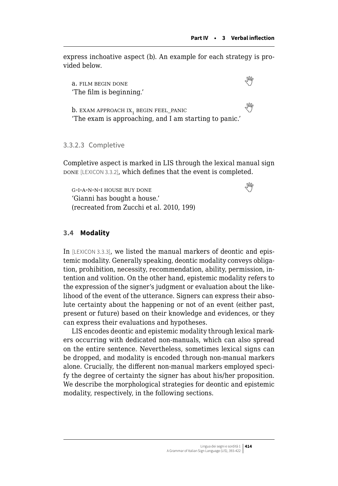<span id="page-21-0"></span>express inchoative aspect (b). An example for each strategy is provided below.

a. film begin done  'The film is beginning.'

**b.**exam approach ix, begin feel\_panic  $\mathbb{C}$ 'The exam is approaching, and I am starting to panic.'

#### 3.3.2.3 Completive

Completive aspect is marked in LIS through the lexical manual sign DONE [LEXICON 3.3.2], which defines that the event is completed.

 $G-I-A-N-N-I$ HOUSE BUY DONE 'Gianni has bought a house.' (recreated from Zucchi et al. 2010, 199)

# **3.4 Modality**

In [LEXICON 3.3.3], we listed the manual markers of deontic and epistemic modality. Generally speaking, deontic modality conveys obligation, prohibition, necessity, recommendation, ability, permission, intention and volition. On the other hand, epistemic modality refers to the expression of the signer's judgment or evaluation about the likelihood of the event of the utterance. Signers can express their absolute certainty about the happening or not of an event (either past, present or future) based on their knowledge and evidences, or they can express their evaluations and hypotheses.

LIS encodes deontic and epistemic modality through lexical markers occurring with dedicated non-manuals, which can also spread on the entire sentence. Nevertheless, sometimes lexical signs can be dropped, and modality is encoded through non-manual markers alone. Crucially, the different non-manual markers employed specify the degree of certainty the signer has about his/her proposition. We describe the morphological strategies for deontic and epistemic modality, respectively, in the following sections.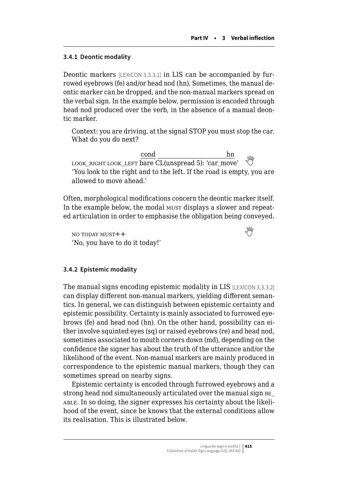# **3.4.1 Deontic modality**

Deontic markers [LEXICON 3.3.3.1] in LIS can be accompanied by furrowed eyebrows (fe) and/or head nod (hn). Sometimes, the manual deontic marker can be dropped, and the non-manual markers spread on the verbal sign. In the example below, permission is encoded through head nod produced over the verb, in the absence of a manual deontic marker.

Context: you are driving, at the signal STOP you must stop the car. What do you do next?

cond hn LOOK RIGHT LOOK LEFT  $\overline{\text{bare CL(unspread 5)}}$ : 'car\_move' 'You look to the right and to the left. If the road is empty, you are allowed to move ahead.'

Often, morphological modifications concern the deontic marker itself. In the example below, the modal must displays a slower and repeated articulation in order to emphasise the obligation being conveyed.

no today must++  'No, you have to do it today!'

#### **3.4.2 Epistemic modality**

The manual signs encoding epistemic modality in LIS [LEXICON 3.3.3.2] can display different non-manual markers, yielding different semantics. In general, we can distinguish between epistemic certainty and epistemic possibility. Certainty is mainly associated to furrowed eyebrows (fe) and head nod (hn). On the other hand, possibility can either involve squinted eyes (sq) or raised eyebrows (re) and head nod, sometimes associated to mouth corners down (md), depending on the confidence the signer has about the truth of the utterance and/or the likelihood of the event. Non-manual markers are mainly produced in correspondence to the epistemic manual markers, though they can sometimes spread on nearby signs.

Epistemic certainty is encoded through furrowed eyebrows and a strong head nod simultaneously articulated over the manual sign be\_ able. In so doing, the signer expresses his certainty about the likelihood of the event, since he knows that the external conditions allow its realisation. This is illustrated below.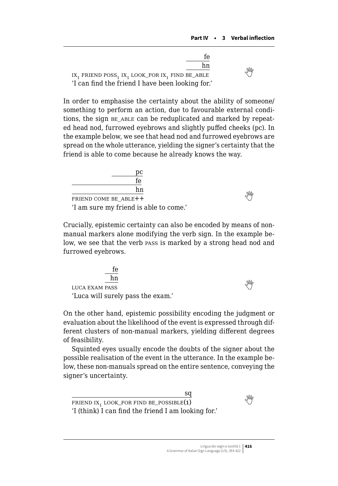

In order to emphasise the certainty about the ability of someone/ something to perform an action, due to favourable external conditions, the sign BE ABLE can be reduplicated and marked by repeated head nod, furrowed eyebrows and slightly puffed cheeks (pc). In the example below, we see that head nod and furrowed eyebrows are spread on the whole utterance, yielding the signer's certainty that the friend is able to come because he already knows the way.



Crucially, epistemic certainty can also be encoded by means of nonmanual markers alone modifying the verb sign. In the example below, we see that the verb pass is marked by a strong head nod and furrowed eyebrows.

| fe                                |   |
|-----------------------------------|---|
| hn                                |   |
| <b>LUCA EXAM PASS</b>             | M |
| 'Luca will surely pass the exam.' |   |

On the other hand, epistemic possibility encoding the judgment or evaluation about the likelihood of the event is expressed through different clusters of non-manual markers, yielding different degrees of feasibility.

Squinted eyes usually encode the doubts of the signer about the possible realisation of the event in the utterance. In the example below, these non-manuals spread on the entire sentence, conveying the signer's uncertainty.

sq FRIENDIX<sub>1</sub> LOOK\_FOR FIND BE\_POSSIBLE(1) 'I (think) I can find the friend I am looking for.'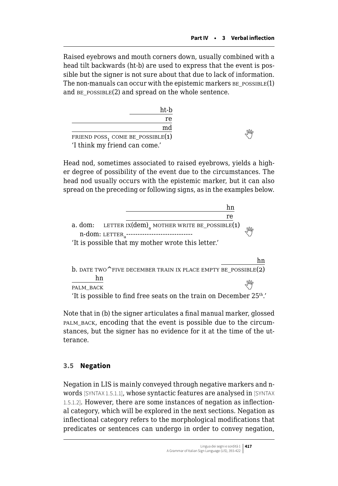Raised eyebrows and mouth corners down, usually combined with a head tilt backwards (ht-b) are used to express that the event is possible but the signer is not sure about that due to lack of information. The non-manuals can occur with the epistemic markers  $BE_POSIBLE(1)$ and  $BE$   $posSIBLE(2)$  and  $spread$  on the whole sentence.

| ht-b                                         |  |
|----------------------------------------------|--|
| re                                           |  |
| md                                           |  |
| FRIEND POSS <sub>1</sub> COME BE_POSSIBLE(1) |  |
| 'I think my friend can come.'                |  |

Head nod, sometimes associated to raised eyebrows, yields a higher degree of possibility of the event due to the circumstances. The head nod usually occurs with the epistemic marker, but it can also spread on the preceding or following signs, as in the examples below.

|                                                                                                                 | hn |  |
|-----------------------------------------------------------------------------------------------------------------|----|--|
|                                                                                                                 | re |  |
| a. dom: LETTER IX(dem) <sub>a</sub> MOTHER WRITE BE_POSSIBLE(1)<br>n-dom: LETTER ------------------------------ |    |  |
| 'It is possible that my mother wrote this letter.'                                                              |    |  |
|                                                                                                                 | hn |  |
| <b>b.</b> DATE TWO $^{\wedge}$ FIVE DECEMBER TRAIN IX PLACE EMPTY BE POSSIBLE(2)                                |    |  |
| hn<br>PALM BACK                                                                                                 |    |  |
| 'It is possible to find free seats on the train on December 25th.'                                              |    |  |

Note that in (b) the signer articulates a final manual marker, glossed palm\_back, encoding that the event is possible due to the circumstances, but the signer has no evidence for it at the time of the utterance.

# **3.5 Negation**

Negation in LIS is mainly conveyed through negative markers and nwords [SYNTAX 1.5.1.1], whose syntactic features are analysed in [SYNTAX 1.5.1.2]. However, there are some instances of negation as inflectional category, which will be explored in the next sections. Negation as inflectional category refers to the morphological modifications that predicates or sentences can undergo in order to convey negation,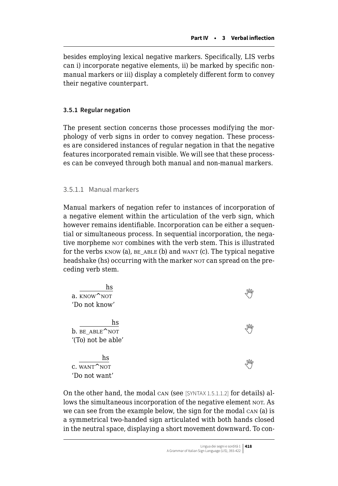<span id="page-25-0"></span>besides employing lexical negative markers. Specifically, LIS verbs can i) incorporate negative elements, ii) be marked by specific nonmanual markers or iii) display a completely different form to convey their negative counterpart.

# **3.5.1 Regular negation**

The present section concerns those processes modifying the morphology of verb signs in order to convey negation. These processes are considered instances of regular negation in that the negative features incorporated remain visible. We will see that these processes can be conveyed through both manual and non-manual markers.

# 3.5.1.1 Manual markers

Manual markers of negation refer to instances of incorporation of a negative element within the articulation of the verb sign, which however remains identifiable. Incorporation can be either a sequential or simultaneous process. In sequential incorporation, the negative morpheme NOT combines with the verb stem. This is illustrated for the verbs  $KNOW$  (a),  $BE$   $ABLE$  (b) and want (c). The typical negative headshake (hs) occurring with the marker nor can spread on the preceding verb stem.

| hs<br>a. KNOW <sup>NOT</sup>                          | NW |
|-------------------------------------------------------|----|
| 'Do not know'                                         |    |
| hs<br>b. BE ABLE <sup>NOT</sup><br>'(To) not be able' | NW |
| hs<br>C. WANT <sup>^</sup> NOT<br>'Do not want'       | NW |

On the other hand, the modal can (see [SYNTAX 1.5.1.1.2] for details) allows the simultaneous incorporation of the negative element NOT. As we can see from the example below, the sign for the modal can (a) is a symmetrical two-handed sign articulated with both hands closed in the neutral space, displaying a short movement downward. To con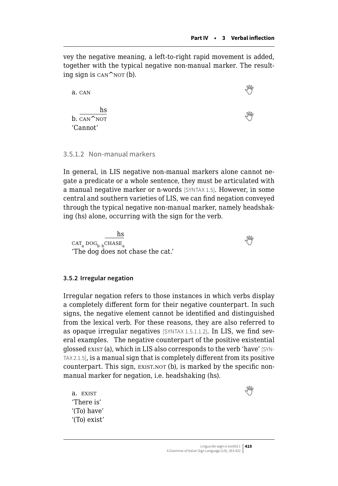vey the negative meaning, a left-to-right rapid movement is added, together with the typical negative non-manual marker. The resulting sign is  $can \n\sim$  NOT (b).

| a. CAN                                  | NW |
|-----------------------------------------|----|
| hs<br>b. CAN <sup>NOT</sup><br>'Cannot' | M  |

#### 3.5.1.2 Non-manual markers

In general, in LIS negative non-manual markers alone cannot negate a predicate or a whole sentence, they must be articulated with a manual negative marker or n-words [SYNTAX 1.5]. However, in some central and southern varieties of LIS, we can find negation conveyed through the typical negative non-manual marker, namely headshaking (hs) alone, occurring with the sign for the verb.

hs  $\overline{\text{CAT}_a \text{ DOG}_b \text{ }^C_{\text{HASE}_a}}$  $\overline{\text{CAT}_a \text{ DOG}_b \text{ }^C_{\text{HASE}_a}}$  $\overline{\text{CAT}_a \text{ DOG}_b \text{ }^C_{\text{HASE}_a}}$ 'The dog does not chase the cat.'

**3.5.2 Irregular negation**

Irregular negation refers to those instances in which verbs display a completely different form for their negative counterpart. In such signs, the negative element cannot be identified and distinguished from the lexical verb. For these reasons, they are also referred to as opaque irregular negatives [SYNTAX 1.5.1.1.2]. In LIS, we find several examples. The negative counterpart of the positive existential glossed exist (a), which in LIS also corresponds to the verb 'have' [SYN-TAX 2.1.5], is a manual sign that is completely different from its positive counterpart. This sign, EXIST.NOT (b), is marked by the specific nonmanual marker for negation, i.e. headshaking (hs).

a.EXIST  $\mathbb{W}$ 'There is' '(To) have' '(To) exist'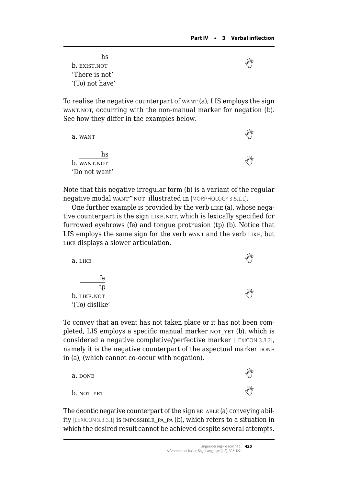hs  $\frac{10}{2}$ b.  $\frac{10}{2}$  exist.not 'There is not' '(To) not have'

To realise the negative counterpart of want (a), LIS employs the sign WANT.NOT, occurring with the non-manual marker for negation (b). See how they differ in the examples below.

| a. WANT           | Mh |
|-------------------|----|
| hs<br>b. WANT.NOT | NW |
| 'Do not want'     |    |

Note that this negative irregular form (b) is a variant of the regular negative modal want^not illustrated in [MORPHOLOGY 3.5.1.1].

One further example is provided by the verb LIKE (a), whose negative counterpart is the sign LIKE.NOT, which is lexically specified for furrowed eyebrows (fe) and tongue protrusion (tp) (b). Notice that LIS employs the same sign for the verb want and the verb LIKE, but LIKE displays a slower articulation.

| a. LIKE        |  |
|----------------|--|
| fe             |  |
| b. LIKE.NOT    |  |
| '(To) dislike' |  |

To convey that an event has not taken place or it has not been completed, LIS employs a specific manual marker NOT YET (b), which is considered a negative completive/perfective marker [LEXICON 3.3.2], namely it is the negative counterpart of the aspectual marker  $\text{DONE}$ in (a), (which cannot co-occur with negation).

| a. DONE    | $\sqrt{M}$ |
|------------|------------|
| b. not_yet | $\sqrt{M}$ |

The deontic negative counterpart of the sign  $BE$   $ABLE$  (a) conveying ability [LEXICON 3.3.3.1] is impossible\_pa\_pa (b), which refers to a situation in which the desired result cannot be achieved despite several attempts.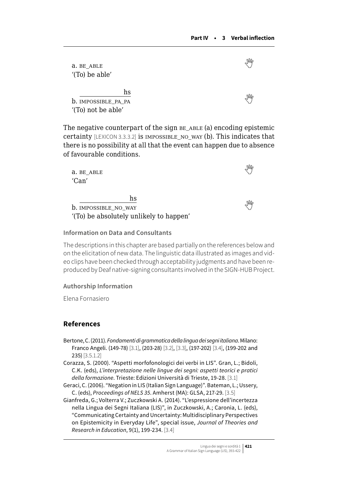a.be\_able  $\mathbb{W}$ '(To) be able' hs b.IMPOSSIBLE PA PA '(To) not be able'

The negative counterpart of the sign  $BE$   $ABLE$  (a) encoding epistemic certainty [LEXICON 3.3.3.2] is impossible\_no\_way (b). This indicates that there is no possibility at all that the event can happen due to absence of favourable conditions.

| a. BE ABLE<br>'Can'                                                          |  |
|------------------------------------------------------------------------------|--|
| hs<br><b>b.</b> IMPOSSIBLE NO WAY<br>'(To) be absolutely unlikely to happen' |  |

#### **Information on Data and Consultants**

The descriptions in this chapter are based partially on the references below and on the elicitation of new data. The linguistic data illustrated as images and video clips have been checked through acceptability judgments and have been reproduced by Deaf native-signing consultants involved in the SIGN-HUB Project.

#### **Authorship Information**

Elena Fornasiero

# **References**

- Bertone, C. (2011). *Fondamenti di grammatica della lingua dei segni italiana*. Milano: Franco Angeli. (149-78) [3.1], (203-28) [3.2], [3.3], (197-202) [3.4], (199-202 and 235) [3.5.1.2]
- Corazza, S. (2000). "Aspetti morfofonologici dei verbi in LIS". Gran, L.; Bidoli, C.K. (eds), *L'interpretazione nelle lingue dei segni: aspetti teorici e pratici della formazione*. Trieste: Edizioni Università di Trieste, 19-28. [3.1]
- Geraci, C. (2006). "Negation in LIS (Italian Sign Language)". Bateman, L.; Ussery, C. (eds), *Proceedings of NELS 35*. Amherst (MA): GLSA, 217-29. [3.5]
- Gianfreda, G.; Volterra V.; Zuczkowski A. (2014). "L'espressione dell'incertezza nella Lingua dei Segni Italiana (LIS)", in Zuczkowski, A.; Caronia, L. (eds), "Communicating Certainty and Uncertainty: Multidisciplinary Perspectives on Epistemicity in Everyday Life", special issue, *Journal of Theories and Research in Education*, 9(1), 199-234. [3.4]